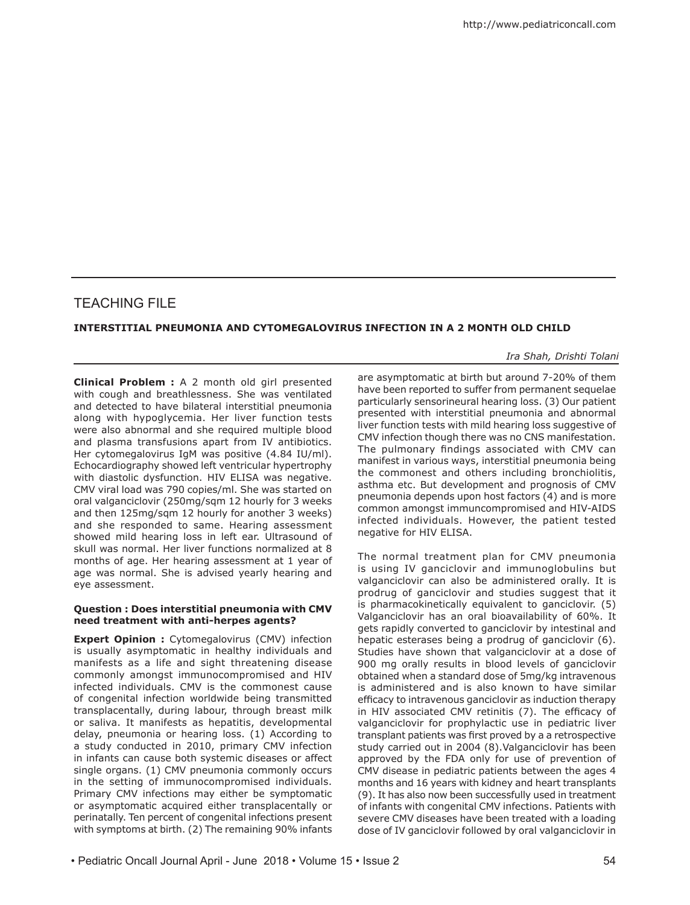# TEACHING FILE

## **INTERSTITIAL PNEUMONIA AND CYTOMEGALOVIRUS INFECTION IN A 2 MONTH OLD CHILD**

*Ira Shah, Drishti Tolani*

**Clinical Problem :** A 2 month old girl presented with cough and breathlessness. She was ventilated and detected to have bilateral interstitial pneumonia along with hypoglycemia. Her liver function tests were also abnormal and she required multiple blood and plasma transfusions apart from IV antibiotics. Her cytomegalovirus IgM was positive (4.84 IU/ml). Echocardiography showed left ventricular hypertrophy with diastolic dysfunction. HIV ELISA was negative. CMV viral load was 790 copies/ml. She was started on oral valganciclovir (250mg/sqm 12 hourly for 3 weeks and then 125mg/sqm 12 hourly for another 3 weeks) and she responded to same. Hearing assessment showed mild hearing loss in left ear. Ultrasound of skull was normal. Her liver functions normalized at 8 months of age. Her hearing assessment at 1 year of age was normal. She is advised yearly hearing and eye assessment.

## **Question : Does interstitial pneumonia with CMV need treatment with anti-herpes agents?**

**Expert Opinion :** Cytomegalovirus (CMV) infection is usually asymptomatic in healthy individuals and manifests as a life and sight threatening disease commonly amongst immunocompromised and HIV infected individuals. CMV is the commonest cause of congenital infection worldwide being transmitted transplacentally, during labour, through breast milk or saliva. It manifests as hepatitis, developmental delay, pneumonia or hearing loss. (1) According to a study conducted in 2010, primary CMV infection in infants can cause both systemic diseases or affect single organs. (1) CMV pneumonia commonly occurs in the setting of immunocompromised individuals. Primary CMV infections may either be symptomatic or asymptomatic acquired either transplacentally or perinatally. Ten percent of congenital infections present with symptoms at birth. (2) The remaining 90% infants

are asymptomatic at birth but around 7-20% of them have been reported to suffer from permanent sequelae particularly sensorineural hearing loss. (3) Our patient presented with interstitial pneumonia and abnormal liver function tests with mild hearing loss suggestive of CMV infection though there was no CNS manifestation. The pulmonary findings associated with CMV can manifest in various ways, interstitial pneumonia being the commonest and others including bronchiolitis, asthma etc. But development and prognosis of CMV pneumonia depends upon host factors (4) and is more common amongst immuncompromised and HIV-AIDS infected individuals. However, the patient tested negative for HIV ELISA.

The normal treatment plan for CMV pneumonia is using IV ganciclovir and immunoglobulins but valganciclovir can also be administered orally. It is prodrug of ganciclovir and studies suggest that it is pharmacokinetically equivalent to ganciclovir. (5) Valganciclovir has an oral bioavailability of 60%. It gets rapidly converted to ganciclovir by intestinal and hepatic esterases being a prodrug of ganciclovir (6). Studies have shown that valganciclovir at a dose of 900 mg orally results in blood levels of ganciclovir obtained when a standard dose of 5mg/kg intravenous is administered and is also known to have similar efficacy to intravenous ganciclovir as induction therapy in HIV associated CMV retinitis (7). The efficacy of valganciclovir for prophylactic use in pediatric liver transplant patients was first proved by a a retrospective study carried out in 2004 (8).Valganciclovir has been approved by the FDA only for use of prevention of CMV disease in pediatric patients between the ages 4 months and 16 years with kidney and heart transplants (9). It has also now been successfully used in treatment of infants with congenital CMV infections. Patients with severe CMV diseases have been treated with a loading dose of IV ganciclovir followed by oral valganciclovir in